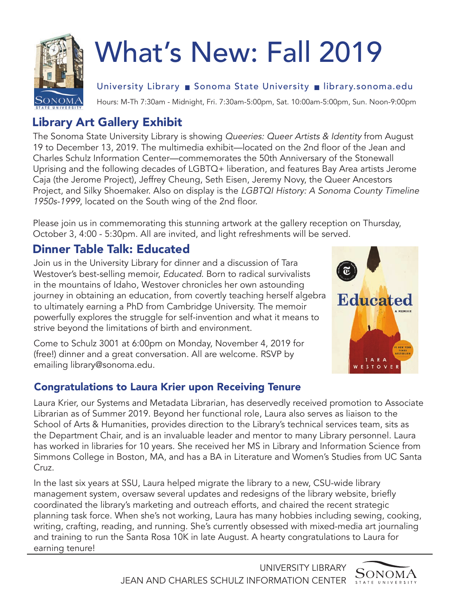

# What's New: Fall 2019

University Library ■ Sonoma State University ■ [library.sonoma.edu](https://library.sonoma.edu)

Hours: M-Th 7:30am - Midnight, Fri. 7:30am-5:00pm, Sat. 10:00am-5:00pm, Sun. Noon-9:00pm

## Library Art Gallery Exhibit

The Sonoma State University Library is showing Queeries: Queer Artists & Identity from August 19 to December 13, 2019. The multimedia exhibit—located on the 2nd floor of the Jean and Charles Schulz Information Center—commemorates the 50th Anniversary of the Stonewall Uprising and the following decades of LGBTQ+ liberation, and features Bay Area artists Jerome Caja (the Jerome Project), Jeffrey Cheung, Seth Eisen, Jeremy Novy, the Queer Ancestors Project, and Silky Shoemaker. Also on display is the LGBTQI History: A Sonoma County Timeline 1950s-1999, located on the South wing of the 2nd floor.

Please join us in commemorating this stunning artwork at the gallery reception on Thursday, October 3, 4:00 - 5:30pm. All are invited, and light refreshments will be served.

## Dinner Table Talk: Educated

Join us in the University Library for dinner and a discussion of Tara Westover's best-selling memoir, *Educated*. Born to radical survivalists in the mountains of Idaho, Westover chronicles her own astounding journey in obtaining an education, from covertly teaching herself algebra to ultimately earning a PhD from Cambridge University. The memoir powerfully explores the struggle for self-invention and what it means to strive beyond the limitations of birth and environment.

Come to Schulz 3001 at 6:00pm on Monday, November 4, 2019 for (free!) dinner and a great conversation. All are welcome. RSVP by emailing [library@sonoma.edu](mailto:library@sonoma.edu).

#### Congratulations to Laura Krier upon Receiving Tenure



Laura Krier, our Systems and Metadata Librarian, has deservedly received promotion to Associate Librarian as of Summer 2019. Beyond her functional role, Laura also serves as liaison to the School of Arts & Humanities, provides direction to the Library's technical services team, sits as the Department Chair, and is an invaluable leader and mentor to many Library personnel. Laura has worked in libraries for 10 years. She received her MS in Library and Information Science from Simmons College in Boston, MA, and has a BA in Literature and Women's Studies from UC Santa Cruz.

In the last six years at SSU, Laura helped migrate the library to a new, CSU-wide library management system, oversaw several updates and redesigns of the library website, briefly coordinated the library's marketing and outreach efforts, and chaired the recent strategic planning task force. When she's not working, Laura has many hobbies including sewing, cooking, writing, crafting, reading, and running. She's currently obsessed with mixed-media art journaling and training to run the Santa Rosa 10K in late August. A hearty congratulations to Laura for earning tenure!